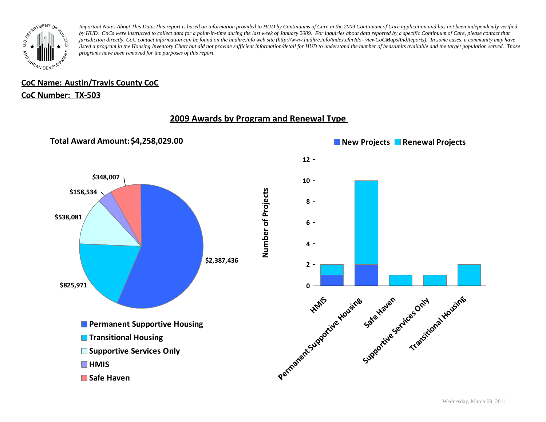

# **CoC Name: Austin/Travis County CoC**

### **CoC Number: TX-503**

# **2009 Awards by Program and Renewal Type**

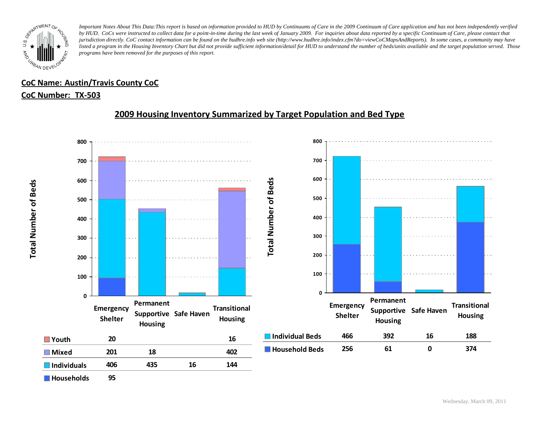

# **CoC Name: Austin/Travis County CoC**

### **CoC Number: TX-503**

# **2009 Housing Inventory Summarized by Target Population and Bed Type**



**Total Number of Beds Total Number of Beds**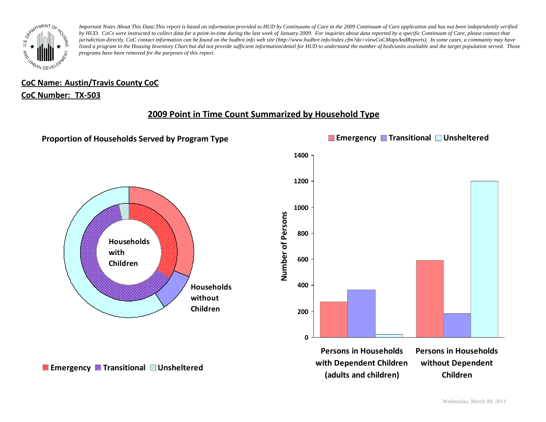

# **CoC Name: Austin/Travis County CoC**

### **CoC Number: TX-503**

# **2009 Point in Time Count Summarized by Household Type**